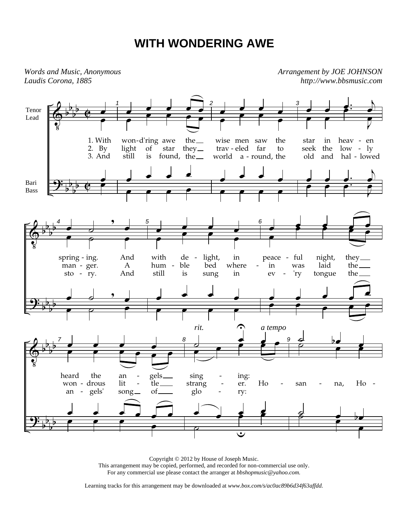## **WITH WONDERING AWE**

*Words and Music, Anonymous Laudis Corona, 1885* 

*Arrangement by JOE JOHNSON http://www.bbsmusic.com*



Copyright © 2012 by House of Joseph Music. This arrangement may be copied, performed, and recorded for non-commercial use only. For any commercial use please contact the arranger at *bbshopmusic@yahoo.com.*

Learning tracks for this arrangement may be downloaded at *www.box.com/s/ac0ac89b6d34f63affdd.*